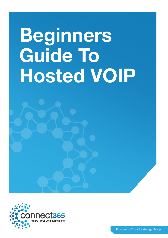# **Beginners Guide To Hosted VOIP**



Powered by The Mick George Group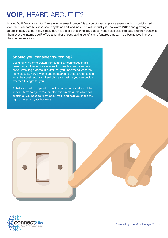# **VOIP**, HEARD ABOUT IT?

Hosted VoIP (an acronym for "Voice over Internet Protocol") is a type of internet phone system which is quickly taking over from standard business phone systems and landlines. The VoIP industry is now worth £40bn and growing at approximately 9% per year. Simply put, it is a piece of technology that converts voice calls into data and then transmits them over the internet. VoIP offers a number of cost-saving benefits and features that can help businesses improve their communications.

### **Should you consider switching?**

Deciding whether to switch from a familiar technology that's been tried and tested for decades to something new can be a nerve-wracking process. It's vital that you understand what the technology is, how it works and compares to other systems, and what the considerations of switching are, before you can decide whether it is right for you.

To help you get to grips with how the technology works and the relevant terminology, we've created this simple guide which will explain all you need to know about VoIP, and help you make the right choices for your business.



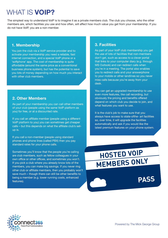# WHAT IS **VOIP?**

The simplest way to understand VoIP is to imagine it as a private members club. The club you choose, who the other members are, which facilities you use and how often, will affect how much value you get from your membership. If you do not have VoIP, you are a non-member.

### **1. Membership**

You join the club via a VoIP service provider and to activate your membership you need a reliable, fast internet connection, and a special VoIP phone or a 'softphone' app. The cost of membership is quite affordable (around the same price as a conventional business phone system), but has the potential to save you lots of money depending on how much you interact with other club members.

#### **2. Other Members**

As part of your membership you can call other members of your club (people using the same VoIP platform as you) for free, or at a discounted rate.

If you call an affiliate member (people using a different VoIP platform to you) you can sometimes get cheaper calls – but this depends on what the affiliate club's setup is.

If you call a non-member (people using standard phones and phone lines (called PBX) then you pay standard rates for your phone calls.

Sometimes you'll know that the people you're calling are club members, such as fellow colleagues in your own office or other offices, and sometimes you won't. If you pick a club where you already know lots of the members, you can make big savings. If you never ring other club or affiliate members, then you probably won't save much – though there can still be other benefits to being a member (e.g. lower running costs, enhanced features).

#### **3. Facilities**

As part of your VoIP club membership you get the use of lots of facilities that non-members don't get, such as access to a clever portal that links to your computer diary (e.g. through MS Outlook) and can redirect calls when you're in a meeting. The portal also enables you to redirect calls and your answerphone to your mobile or other landlines so you never miss calls because you're away from your desk.

You can get an upgraded membership to use even more features, like call recording, but obviously the pricing and benefits offered depend on which club you decide to join, and what features you want to use.

It is the club's job to make sure that you always have access to state-ofthe- art facilities so, over time, it will upgrade the facilities automatically and ask if you would like the latest premium features on your phone system.

### KS UN **HOSTED VOIP MEMBERS ONLY**

**PASS**

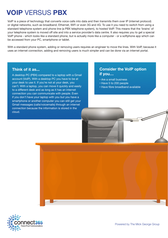# **VOIP** VERSUS **PBX**

VoIP is a piece of technology that converts voice calls into data and then transmits them over IP (internet protocol) or digital networks, such as broadband, Ethernet, WiFi or even 3G and 4G. To use it you need to switch from using a standard telephone system and phone line (a PBX telephone system), to hosted VoIP. This means that the 'brains' of your telephone system is moved off site and into a service provider's data centre. It also requires you to get a special VoIP phone - which looks like a standard phone, but is actually more like a computer - or a softphone app which can be accessed from your PC, smartphone or tablet.

With a standard phone system, adding or removing users requires an engineer to move the lines. With VoIP, because it uses an internet connection, adding and removing users is much simpler and can be done via an internet portal.

#### **Think of it as...**

A desktop PC (PBX) compared to a laptop with a Gmail account (VoIP). With a desktop PC you have to be at your desk to use it. If you're not at your desk, you can't. With a laptop, you can move it quickly and easily to a different desk and as long as it has an internet connection you can communicate with people. Even if you don't have your laptop with you but you have a smartphone or another computer you can still get your Gmail messages (calls/voicemails) through an internet connection because the information is stored in the cloud.

- Are a small business
- Have 5 to 200 people
- Have fibre broadband available



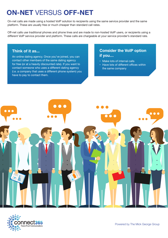# **ON-NET** VERSUS **OFF-NET**

On-net calls are made using a hosted VoIP solution to recipients using the same service provider and the same platform. These are usually free or much cheaper than standard call rates.

Off-net calls use traditional phones and phone lines and are made to non-hosted VoIP users, or recipients using a different VoIP service provider and platform. These calls are chargeable at your service provider's standard rate.

### **Think of it as...**

An online dating agency. Once you've joined, you can contact other members of the same dating agency for free (or at a heavily discounted rate). If you want to contact someone who uses a different dating agency (i.e. a company that uses a different phone system) you have to pay to contact them.

- Make lots of internal calls
- Have lots of different offices within the same company



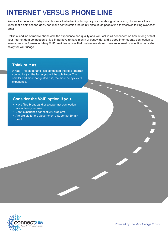# **INTERNET** VERSUS **PHONE LINE**

We've all experienced delay on a phone call, whether it's through a poor mobile signal, or a long distance call, and know that a split second delay can make conversation incredibly difficult, as people find themselves talking over each other.

Unlike a landline or mobile phone call, the experience and quality of a VoIP call is all dependent on how strong or fast your internet data connection is. It is imperative to have plenty of bandwidth and a good internet data connection to ensure peak performance. Many VoIP providers advise that businesses should have an internet connection dedicated solely for VoIP usage.

### **Think of it as...**

A road. The bigger and less congested the road (internet connection) is, the faster you will be able to go. The smaller and more congested it is, the more delays you'll experience.

- Have fibre broadband or a superfast connection available in your area
- Don't experience connectivity problems
- Are eligible for the Government's Superfast Britain grant

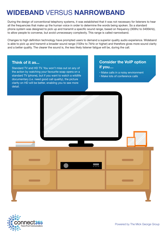# **WIDEBAND** VERSUS **NARROWBAND**

During the design of conventional telephony systems, it was established that it was not necessary for listeners to hear all the frequencies that make up the human voice in order to determine the words being spoken. So a standard phone system was designed to pick up and transmit a specific sound range, based on frequency (300hz to 3400kHz), to allow people to converse, but avoid unnecessary complexity. This range is called narrowband.

Changes to high definition technology have prompted users to demand a superior quality audio experience. Wideband is able to pick up and transmit a broader sound range (150hz to 7kHz or higher) and therefore gives more sound clarity and a better quality. The clearer the sound is, the less likely listener fatigue will be, during the call.

### **Think of it as...**

Standard TV and HD TV. You won't miss out on any of the action by watching your favourite soap opera on a standard TV (phone), but if you want to watch a wildlife documentary (i.e. need good call quality), the picture clarity on HD will be better, enabling you to see more detail.

- Make calls in a noisy environment
- Make lots of conference calls



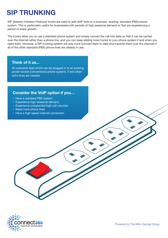# **SIP TRUNKING**

SIP (Session Initiation Protocol) trunks are used to add VoIP lines to a business' existing, standard (PBX) phone system. This is particularly useful for businesses with periods of high seasonal demand or that are experiencing a period of sharp growth.

The trunks allow you to use a standard phone system and simply convert the call into data so that it can be carried over the internet rather than a phone line, and you can keep adding more trunks to your phone system if and when you need them. However, a SIP trunking system will only trunk (convert them to data and transmit them over the internet) if all of the other standard (PBX) phone lines are already in use.

### **Think of it as...**

An extension lead which can be plugged in to an existing power socket (conventional phone system), if and when extra lines are needed.

- Have a standard PBX system
- Experience high seasonal demand
- Experience unexpected high call volumes
- Need more phone lines
- Have a high speed internet connection